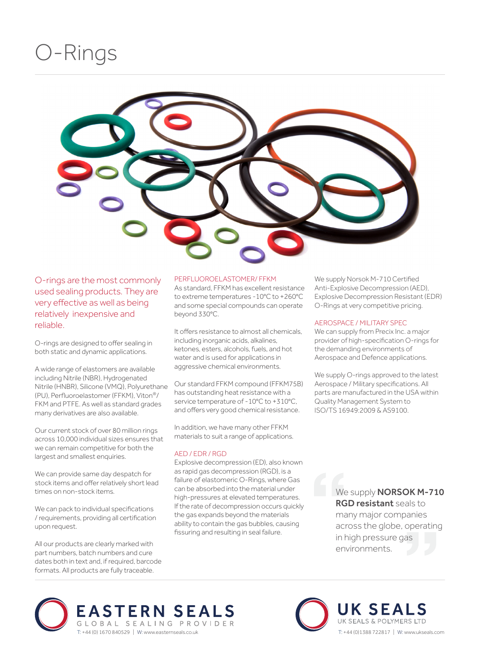## O-Rings



O-rings are the most commonly used sealing products. They are very effective as well as being relatively inexpensive and reliable.

O-rings are designed to offer sealing in both static and dynamic applications.

A wide range of elastomers are available including Nitrile (NBR), Hydrogenated Nitrile (HNBR), Silicone (VMQ), Polyurethane (PU), Perfluoroelastomer (FFKM), Viton®/ FKM and PTFE. As well as standard grades many derivatives are also available.

Our current stock of over 80 million rings across 10,000 individual sizes ensures that we can remain competitive for both the largest and smallest enquiries.

We can provide same day despatch for stock items and offer relatively short lead times on non-stock items.

We can pack to individual specifications / requirements, providing all certification upon request.

All our products are clearly marked with part numbers, batch numbers and cure dates both in text and, if required, barcode formats. All products are fully traceable.

#### PERFLUOROELASTOMER/ FFKM

As standard, FFKM has excellent resistance to extreme temperatures -10°C to +260°C and some special compounds can operate beyond 330°C.

It offers resistance to almost all chemicals, including inorganic acids, alkalines, ketones, esters, alcohols, fuels, and hot water and is used for applications in aggressive chemical environments.

Our standard FFKM compound (FFKM75B) has outstanding heat resistance with a service temperature of -10°C to +310°C, and offers very good chemical resistance.

In addition, we have many other FFKM materials to suit a range of applications.

#### AED / EDR / RGD

Explosive decompression (ED), also known as rapid gas decompression (RGD), is a failure of elastomeric O-Rings, where Gas can be absorbed into the material under high-pressures at elevated temperatures. If the rate of decompression occurs quickly the gas expands beyond the materials ability to contain the gas bubbles, causing fissuring and resulting in seal failure.

We supply Norsok M-710 Certified Anti-Explosive Decompression (AED), Explosive Decompression Resistant (EDR) O-Rings at very competitive pricing.

#### AEROSPACE / MILITARY SPEC

We can supply from Precix Inc. a major provider of high-specification O-rings for the demanding environments of Aerospace and Defence applications.

We supply O-rings approved to the latest Aerospace / Military specifications. All parts are manufactured in the USA within Quality Management System to ISO/TS 16949:2009 & AS9100.

> We supply **NORSOK M-710** RGD resistant seals to many major companies across the globe, operating in high pressure gas environments.